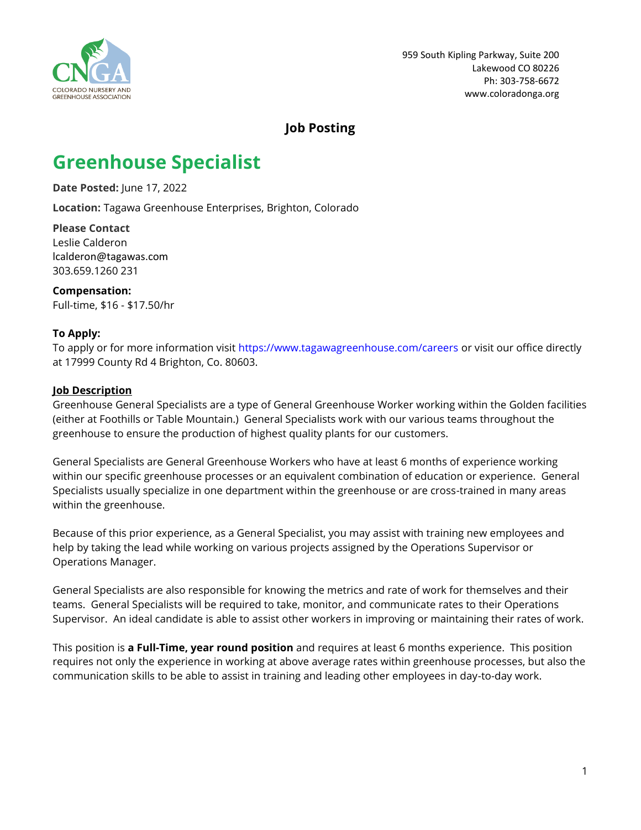

## **Job Posting**

# **Greenhouse Specialist**

**Date Posted:** June 17, 2022

**Location:** Tagawa Greenhouse Enterprises, Brighton, Colorado

**Please Contact** Leslie Calderon lcalderon@tagawas.com 303.659.1260 231

**Compensation:** Full-time, \$16 - \$17.50/hr

#### **To Apply:**

To apply or for more information visit <https://www.tagawagreenhouse.com/careers> or visit our office directly at 17999 County Rd 4 Brighton, Co. 80603.

#### **Job Description**

Greenhouse General Specialists are a type of General Greenhouse Worker working within the Golden facilities (either at Foothills or Table Mountain.) General Specialists work with our various teams throughout the greenhouse to ensure the production of highest quality plants for our customers.

General Specialists are General Greenhouse Workers who have at least 6 months of experience working within our specific greenhouse processes or an equivalent combination of education or experience. General Specialists usually specialize in one department within the greenhouse or are cross-trained in many areas within the greenhouse.

Because of this prior experience, as a General Specialist, you may assist with training new employees and help by taking the lead while working on various projects assigned by the Operations Supervisor or Operations Manager.

General Specialists are also responsible for knowing the metrics and rate of work for themselves and their teams. General Specialists will be required to take, monitor, and communicate rates to their Operations Supervisor. An ideal candidate is able to assist other workers in improving or maintaining their rates of work.

This position is **a Full-Time, year round position** and requires at least 6 months experience. This position requires not only the experience in working at above average rates within greenhouse processes, but also the communication skills to be able to assist in training and leading other employees in day-to-day work.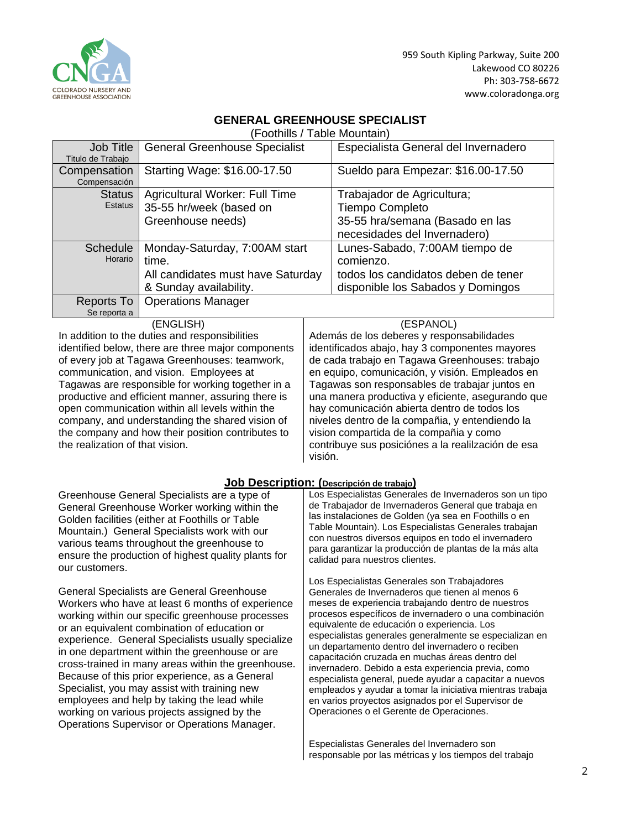

959 South Kipling Parkway, Suite 200 Lakewood CO 80226 Ph: 303-758-6672 [www.coloradonga.org](http://www.coloradonga.org/)

#### **GENERAL GREENHOUSE SPECIALIST**

(Foothills / Table Mountain)

| Job Title         | <b>General Greenhouse Specialist</b> | Especialista General del Invernadero |
|-------------------|--------------------------------------|--------------------------------------|
| Titulo de Trabajo |                                      |                                      |
| Compensation      | Starting Wage: \$16.00-17.50         | Sueldo para Empezar: \$16.00-17.50   |
| Compensación      |                                      |                                      |
| <b>Status</b>     | Agricultural Worker: Full Time       | Trabajador de Agricultura;           |
| Estatus           | 35-55 hr/week (based on              | <b>Tiempo Completo</b>               |
|                   | Greenhouse needs)                    | 35-55 hra/semana (Basado en las      |
|                   |                                      | necesidades del Invernadero)         |
| <b>Schedule</b>   | Monday-Saturday, 7:00AM start        | Lunes-Sabado, 7:00AM tiempo de       |
| Horario           | time.                                | comienzo.                            |
|                   | All candidates must have Saturday    | todos los candidatos deben de tener  |
|                   | & Sunday availability.               | disponible los Sabados y Domingos    |
| Reports To        | <b>Operations Manager</b>            |                                      |
| Se reporta a      |                                      |                                      |
|                   | (ENGLISH)                            | (ESPANOL)                            |

In addition to the duties and responsibilities identified below, there are three major components of every job at Tagawa Greenhouses: teamwork, communication, and vision. Employees at Tagawas are responsible for working together in a productive and efficient manner, assuring there is open communication within all levels within the company, and understanding the shared vision of the company and how their position contributes to the realization of that vision.

Además de los deberes y responsabilidades identificados abajo, hay 3 componentes mayores de cada trabajo en Tagawa Greenhouses: trabajo en equipo, comunicación, y visión. Empleados en Tagawas son responsables de trabajar juntos en una manera productiva y eficiente, asegurando que hay comunicación abierta dentro de todos los niveles dentro de la compañia, y entendiendo la vision compartida de la compañia y como contribuye sus posiciónes a la realilzación de esa visión.

#### **Job Description: (Descripción de trabajo)**

Greenhouse General Specialists are a type of General Greenhouse Worker working within the Golden facilities (either at Foothills or Table Mountain.) General Specialists work with our various teams throughout the greenhouse to ensure the production of highest quality plants for our customers.

General Specialists are General Greenhouse Workers who have at least 6 months of experience working within our specific greenhouse processes or an equivalent combination of education or experience. General Specialists usually specialize in one department within the greenhouse or are cross-trained in many areas within the greenhouse. Because of this prior experience, as a General Specialist, you may assist with training new employees and help by taking the lead while working on various projects assigned by the Operations Supervisor or Operations Manager.

Los Especialistas Generales de Invernaderos son un tipo de Trabajador de Invernaderos General que trabaja en las instalaciones de Golden (ya sea en Foothills o en Table Mountain). Los Especialistas Generales trabajan con nuestros diversos equipos en todo el invernadero para garantizar la producción de plantas de la más alta calidad para nuestros clientes.

Los Especialistas Generales son Trabajadores Generales de Invernaderos que tienen al menos 6 meses de experiencia trabajando dentro de nuestros procesos específicos de invernadero o una combinación equivalente de educación o experiencia. Los especialistas generales generalmente se especializan en un departamento dentro del invernadero o reciben capacitación cruzada en muchas áreas dentro del invernadero. Debido a esta experiencia previa, como especialista general, puede ayudar a capacitar a nuevos empleados y ayudar a tomar la iniciativa mientras trabaja en varios proyectos asignados por el Supervisor de Operaciones o el Gerente de Operaciones.

Especialistas Generales del Invernadero son responsable por las métricas y los tiempos del trabajo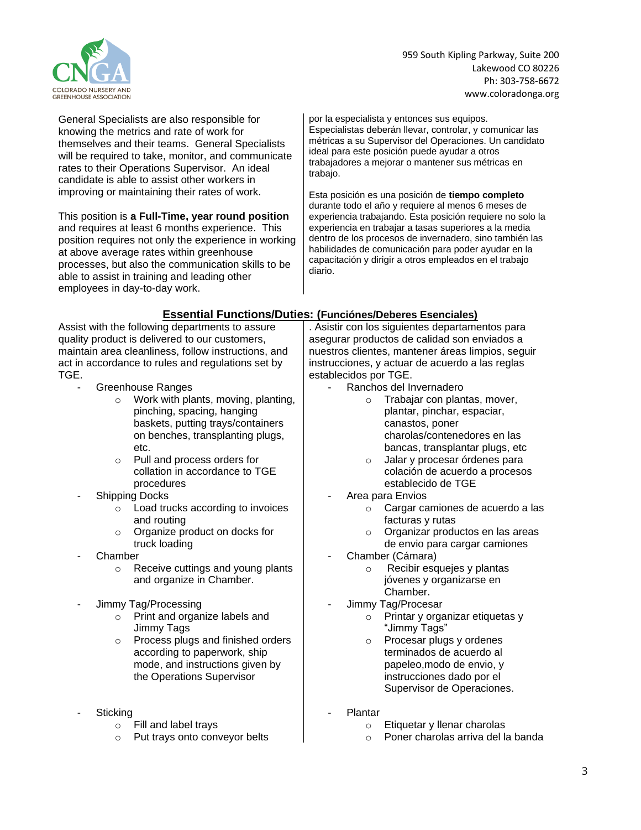

959 South Kipling Parkway, Suite 200 Lakewood CO 80226 Ph: 303-758-6672 [www.coloradonga.org](http://www.coloradonga.org/)

General Specialists are also responsible for knowing the metrics and rate of work for themselves and their teams. General Specialists will be required to take, monitor, and communicate rates to their Operations Supervisor. An ideal candidate is able to assist other workers in improving or maintaining their rates of work.

This position is **a Full-Time, year round position** and requires at least 6 months experience. This position requires not only the experience in working at above average rates within greenhouse processes, but also the communication skills to be able to assist in training and leading other employees in day-to-day work.

por la especialista y entonces sus equipos. Especialistas deberán llevar, controlar, y comunicar las métricas a su Supervisor del Operaciones. Un candidato ideal para este posición puede ayudar a otros trabajadores a mejorar o mantener sus métricas en trabajo.

Esta posición es una posición de **tiempo completo** durante todo el año y requiere al menos 6 meses de experiencia trabajando. Esta posición requiere no solo la experiencia en trabajar a tasas superiores a la media dentro de los procesos de invernadero, sino también las habilidades de comunicación para poder ayudar en la capacitación y dirigir a otros empleados en el trabajo diario.

### **Essential Functions/Duties: (Funciónes/Deberes Esenciales)**

Assist with the following departments to assure quality product is delivered to our customers, maintain area cleanliness, follow instructions, and act in accordance to rules and regulations set by TGE.

- Greenhouse Ranges
	- o Work with plants, moving, planting, pinching, spacing, hanging baskets, putting trays/containers on benches, transplanting plugs, etc.
	- o Pull and process orders for collation in accordance to TGE procedures
- Shipping Docks
	- o Load trucks according to invoices and routing
	- o Organize product on docks for truck loading
- **Chamber** 
	- o Receive cuttings and young plants and organize in Chamber.
- Jimmy Tag/Processing
	- o Print and organize labels and Jimmy Tags
	- o Process plugs and finished orders according to paperwork, ship mode, and instructions given by the Operations Supervisor
- **Sticking** 
	- o Fill and label trays
	- o Put trays onto conveyor belts

. Asistir con los siguientes departamentos para asegurar productos de calidad son enviados a nuestros clientes, mantener áreas limpios, seguir instrucciones, y actuar de acuerdo a las reglas establecidos por TGE.

- Ranchos del Invernadero
	- o Trabajar con plantas, mover, plantar, pinchar, espaciar, canastos, poner charolas/contenedores en las bancas, transplantar plugs, etc
	- o Jalar y procesar órdenes para colación de acuerdo a procesos establecido de TGE
- Area para Envios
	- o Cargar camiones de acuerdo a las facturas y rutas
	- o Organizar productos en las areas de envio para cargar camiones
- Chamber (Cámara)
	- o Recibir esquejes y plantas jóvenes y organizarse en Chamber.
- Jimmy Tag/Procesar
	- o Printar y organizar etiquetas y "Jimmy Tags"
	- o Procesar plugs y ordenes terminados de acuerdo al papeleo,modo de envio, y instrucciones dado por el Supervisor de Operaciones.
- **Plantar** 
	- o Etiquetar y llenar charolas
	- o Poner charolas arriva del la banda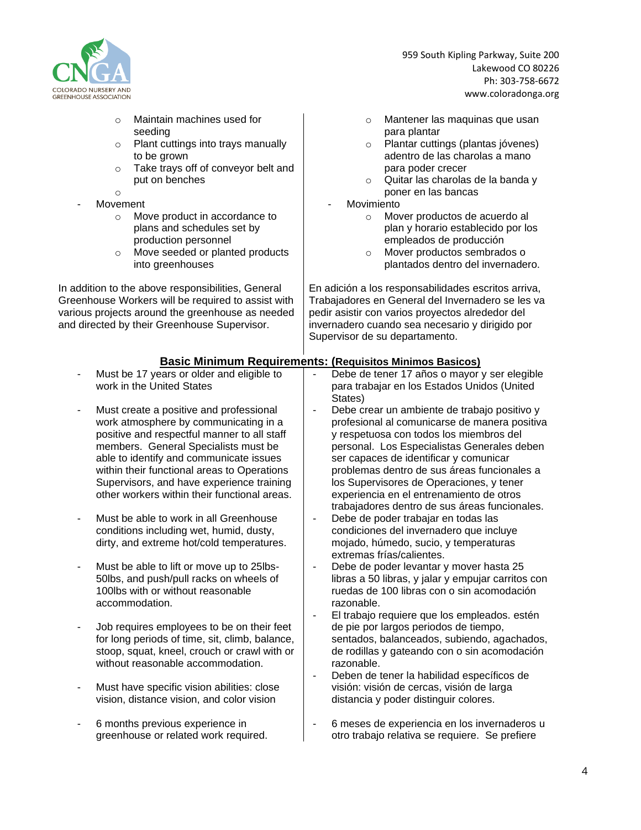

- o Maintain machines used for seeding
- o Plant cuttings into trays manually to be grown
- o Take trays off of conveyor belt and put on benches
- o **Movement** 
	- o Move product in accordance to plans and schedules set by production personnel
	- o Move seeded or planted products into greenhouses

In addition to the above responsibilities, General Greenhouse Workers will be required to assist with various projects around the greenhouse as needed and directed by their Greenhouse Supervisor.

959 South Kipling Parkway, Suite 200 Lakewood CO 80226 Ph: 303-758-6672 [www.coloradonga.org](http://www.coloradonga.org/)

- o Mantener las maquinas que usan para plantar
- o Plantar cuttings (plantas jóvenes) adentro de las charolas a mano para poder crecer
- o Quitar las charolas de la banda y poner en las bancas
- **Movimiento** 
	- o Mover productos de acuerdo al plan y horario establecido por los empleados de producción
	- o Mover productos sembrados o plantados dentro del invernadero.

En adición a los responsabilidades escritos arriva, Trabajadores en General del Invernadero se les va pedir asistir con varios proyectos alrededor del invernadero cuando sea necesario y dirigido por Supervisor de su departamento.

#### **Basic Minimum Requirements: (Requisitos Minimos Basicos)**

- Must be 17 years or older and eligible to work in the United States
- Must create a positive and professional work atmosphere by communicating in a positive and respectful manner to all staff members. General Specialists must be able to identify and communicate issues within their functional areas to Operations Supervisors, and have experience training other workers within their functional areas.
- Must be able to work in all Greenhouse conditions including wet, humid, dusty, dirty, and extreme hot/cold temperatures.
- Must be able to lift or move up to 25lbs-50lbs, and push/pull racks on wheels of 100lbs with or without reasonable accommodation.
- Job requires employees to be on their feet for long periods of time, sit, climb, balance, stoop, squat, kneel, crouch or crawl with or without reasonable accommodation.
- Must have specific vision abilities: close vision, distance vision, and color vision
- 6 months previous experience in greenhouse or related work required.
- Debe de tener 17 años o mayor y ser elegible para trabajar en los Estados Unidos (United States)
- Debe crear un ambiente de trabajo positivo y profesional al comunicarse de manera positiva y respetuosa con todos los miembros del personal. Los Especialistas Generales deben ser capaces de identificar y comunicar problemas dentro de sus áreas funcionales a los Supervisores de Operaciones, y tener experiencia en el entrenamiento de otros trabajadores dentro de sus áreas funcionales.
- Debe de poder trabajar en todas las condiciones del invernadero que incluye mojado, húmedo, sucio, y temperaturas extremas frías/calientes.
- Debe de poder levantar y mover hasta 25 libras a 50 libras, y jalar y empujar carritos con ruedas de 100 libras con o sin acomodación razonable.
- El trabajo requiere que los empleados. estén de pie por largos periodos de tiempo, sentados, balanceados, subiendo, agachados, de rodillas y gateando con o sin acomodación razonable.
- Deben de tener la habilidad específicos de visión: visión de cercas, visión de larga distancia y poder distinguir colores.
- 6 meses de experiencia en los invernaderos u otro trabajo relativa se requiere. Se prefiere